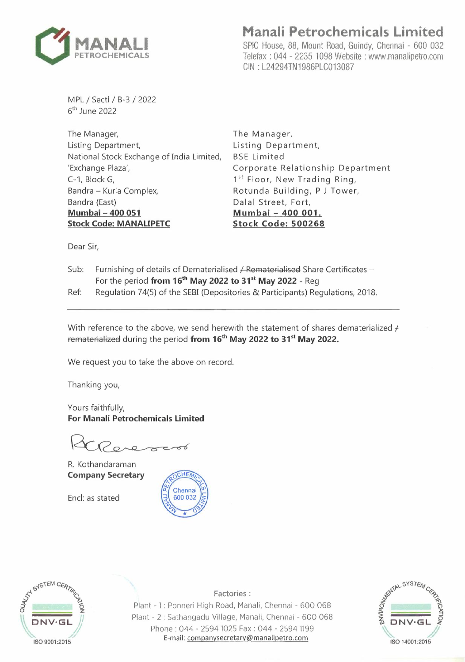

# **Manali Petrochemicals Limited**

SPIC House, 88, Mount Road, Guindy, Chennai - 600 032 Telefax : 044 - 2235 1098 Website : www.manalipetro.com GIN : L24294TN1986PLC013087

MPL / Sectl / B-3 / 2022 6<sup>th</sup> June 2022

The Manager, Listing Department, National Stock Exchange of India Limited, 'Exchange Plaza', C-1, BlockG, Bandra - Kurla Complex, Bandra (East} **Mumbai-400 051 Stock Code: MANAUPETC** 

The Manager, Listing Department, BSE Limited Corporate Relationship Department 1<sup>st</sup> Floor, New Trading Ring, Rotunda Building, P J Tower, Dalal Street, Fort, **Mumbai - 400 001. Stock Code: 500268** 

Dear Sir,

- Sub: Furnishing of details of Dematerialised / Rematerialised Share Certificates -For the period **from 16 th May 2022 to 31 st May 2022 -** Reg
- Ref: Regulation 74(5) of the SEBI (Depositories & Participants} Regulations, 2018.

With reference to the above, we send herewith the statement of shares dematerialized  $\neq$ rematerialized during the period **from 16 th May 2022 to 31 st May 2022.** 

We request you to take the above on record.

Thanking you,

Yours faithfully, **For Manali Petrochemicals Limited** 

R. Kothandaraman **Company Secretary** 

Encl: as stated





**Factories:**  Plant - 1 : Ponneri High Road, Manali, Chennai - 600 068 Plant - 2 : Sathangadu Village, Manali, Chennai - 600 068 Phone : 044 - 2594 1025 Fax : 044 - 2594 1199 E-mail: companysecretary@manalipetro.com **ISO 14001:2015** 

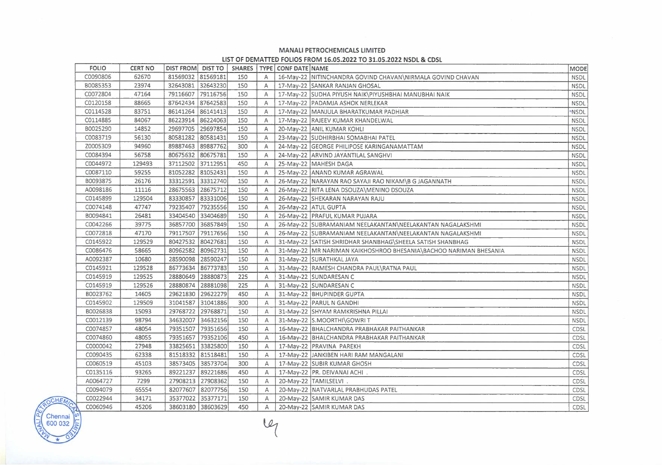## **MANALI PETROCHEMICALS LIMITED**

### **LIST OF DEMATTEO FOLIOS FROM 16.05.2022 TO 31.05.2022 NSDL & CDSL**

| <b>FOLIO</b> | <b>CERT NO</b> | DIST FROM DIST TO |                   | <b>SHARES</b> |              | TYPE CONF DATE NAME |                                                                   | <b>MODE</b> |
|--------------|----------------|-------------------|-------------------|---------------|--------------|---------------------|-------------------------------------------------------------------|-------------|
| C0090806     | 62670          | 81569032 81569181 |                   | 150           | A            |                     | 16-May-22 NITINCHANDRA GOVIND CHAVAN\NIRMALA GOVIND CHAVAN        | <b>NSDL</b> |
| 80085353     | 23974          | 32643081 32643230 |                   | 150           | Α            |                     | 17-May-22 SANKAR RANJAN GHOSAL                                    | <b>NSDL</b> |
| C0072804     | 47164          | 79116607          | 79116756          | 150           | Α            |                     | 17-May-22 SUDHA PIYUSH NAIK\PIYUSHBHAI MANUBHAI NAIK              | <b>NSDL</b> |
| C0120158     | 88665          | 87642434 87642583 |                   | 150           | A            |                     | 17-May-22 PADAMJA ASHOK NERLEKAR                                  | <b>NSDL</b> |
| C0114528     | 83751          | 86141264          | 86141413          | 150           | Α            |                     | 17-May-22 MANJULA BHARATKUMAR PADHIAR                             | *NSDL       |
| C0114885     | 84067          | 86223914 86224063 |                   | 150           | A            |                     | 17-May-22 RAJEEV KUMAR KHANDELWAL                                 | <b>NSDL</b> |
| B0025290     | 14852          | 29697705 29697854 |                   | 150           | Α            |                     | 20-May-22 ANIL KUMAR KOHLI                                        | <b>NSDL</b> |
| C0083719     | 56130          | 80581282 80581431 |                   | 150           | Α            |                     | 23-May-22 SUDHIRBHAI SOMABHAI PATEL                               | <b>NSDL</b> |
| Z0005309     | 94960          | 89887463 89887762 |                   | 300           | A            |                     | 24-May-22 GEORGE PHILIPOSE KARINGANAMATTAM                        | <b>NSDL</b> |
| C0084394     | 56758          | 80675632 80675781 |                   | 150           | Α            |                     | 24-May-22 ARVIND JAYANTILAL SANGHVI                               | <b>NSDL</b> |
| C0044972     | 129493         | 37112502 37112951 |                   | 450           | Α            |                     | 25-May-22 MAHESH DAGA                                             | NSDL        |
| C0087110     | 59255          | 81052282 81052431 |                   | 150           | $\mathsf{A}$ |                     | 25-May-22 ANAND KUMAR AGRAWAL                                     | <b>NSDL</b> |
| B0093875     | 26176          | 33312591 33312740 |                   | 150           | A            |                     | 26-May-22 NARAYAN RAO SAYAJI RAO NIKAM\B G JAGANNATH              | <b>NSDL</b> |
| A0098186     | 11116          | 28675563 28675712 |                   | 150           | Α            |                     | 26-May-22   RITA LENA DSOUZA \MENINO DSOUZA                       | <b>NSDL</b> |
| C0145899     | 129504         | 83330857 83331006 |                   | 150           | A            |                     | 26-May-22 SHEKARAN NARAYAN RAJU                                   | <b>NSDL</b> |
| C0074148     | 47747          | 79235407          | 79235556          | 150           | А            |                     | 26-May-22 ATUL GUPTA                                              | <b>NSDL</b> |
| B0094841     | 26481          | 33404540 33404689 |                   | 150           | Α            |                     | 26-May-22 PRAFUL KUMAR PUJARA                                     | <b>NSDL</b> |
| C0042266     | 39775          | 36857700 36857849 |                   | 150           | A            |                     | 26-May-22 SUBRAMANIAM NEELAKANTAN\NEELAKANTAN NAGALAKSHMI         | <b>NSDL</b> |
| C0072818     | 47170          | 79117507          | 79117656          | 150           | A            |                     | 26-May-22 SUBRAMANIAM NEELAKANTAN\NEELAKANTAN NAGALAKSHMI         | <b>NSDL</b> |
| C0145922     | 129529         | 80427532 80427681 |                   | 150           | $\mathsf{A}$ |                     | 31-May-22 SATISH SHRIDHAR SHANBHAG\SHEELA SATISH SHANBHAG         | NSDL        |
| C0086476     | 58665          | 80962582 80962731 |                   | 150           | A            |                     | 31-May-22 MR NARIMAN KAIKHOSHROO BHESANIA\BACHOO NARIMAN BHESANIA | <b>NSDL</b> |
| A0092387     | 10680          | 28590098 28590247 |                   | 150           | A            |                     | 31-May-22 SURATHKAL JAYA                                          | <b>NSDL</b> |
| C0145921     | 129528         | 86773634 86773783 |                   | 150           | A            |                     | 31-May-22 RAMESH CHANDRA PAUL\RATNA PAUL                          | <b>NSDL</b> |
| C0145919     | 129525         | 28880649 28880873 |                   | 225           | $\mathsf{A}$ |                     | 31-May-22 SUNDARESAN C                                            | <b>NSDL</b> |
| C0145919     | 129526         | 28880874 28881098 |                   | 225           | A            |                     | 31-May-22 SUNDARESAN C                                            | <b>NSDL</b> |
| B0023762     | 14605          | 29621830          | 29622279          | 450           | A            |                     | 31-May-22 BHUPINDER GUPTA                                         | <b>NSDL</b> |
| C0145902     | 129509         | 31041587 31041886 |                   | 300           | $\mathsf{A}$ |                     | 31-May-22 PARUL N GANDHI                                          | <b>NSDL</b> |
| B0026838     | 15093          | 29768722 29768871 |                   | 150           | A            |                     | 31-May-22 SHYAM RAMKRISHNA PILLAI                                 | <b>NSDL</b> |
| C0012139     | 98794          | 34632007 34632156 |                   | 150           | A            |                     | 31-May-22 S.MOORTHI\GOWRIT                                        | <b>NSDL</b> |
| C0074857     | 48054          |                   | 79351507 79351656 | 150           | A            |                     | 16-May-22   BHALCHANDRA PRABHAKAR PAITHANKAR                      | CDSL        |
| C0074860     | 48055          | 79351657 79352106 |                   | 450           | A            |                     | 16-May-22 BHALCHANDRA PRABHAKAR PAITHANKAR                        | CDSL        |
| C0000042     | 27948          | 33825651 33825800 |                   | 150           | Α            |                     | 17-May-22 PRAVINA PAREKH                                          | CDSL        |
| C0090435     | 62338          | 81518332 81518481 |                   | 150           | A            |                     | 17-May-22 JANKIBEN HARI RAM MANGALANI                             | CDSL        |
| C0060519     | 45103          | 38573405 38573704 |                   | 300           | A            |                     | 17-May-22 SUBIR KUMAR GHOSH                                       | CDSL        |
| C0135116     | 93265          | 89221237          | 89221686          | 450           | A            |                     | 17-May-22 PR. DEIVANAI ACHI.                                      | CDSL        |
| A0064727     | 7299           | 27908213 27908362 |                   | 150           | $\mathsf{A}$ |                     | 20-May-22  TAMILSELVI.                                            | CDSL        |
| C0094079     | 65554          | 82077607 82077756 |                   | 150           | A            |                     | 20-May-22 NATVARLAL PRABHUDAS PATEL                               | CDSL        |
| C0022944     | 34171          | 35377022 35377171 |                   | 150           | A            |                     | 20-May-22 SAMIR KUMAR DAS                                         | CDSL        |
| C0060946     | 45206          | 38603180 38603629 |                   | 450           | Α            |                     | 20-May-22 SAMIR KUMAR DAS                                         | CDSL        |

Ę

 $C$